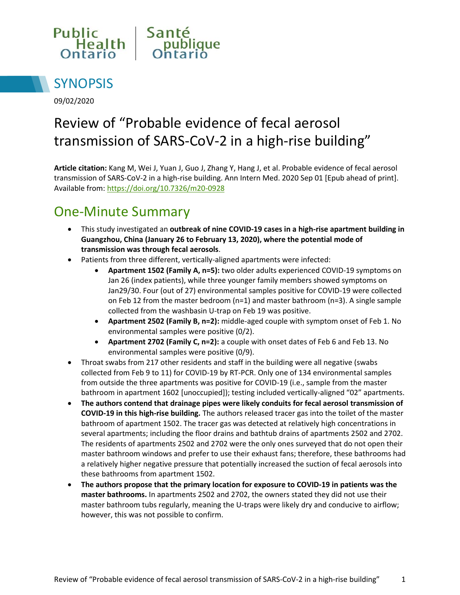



09/02/2020

# Review of "Probable evidence of fecal aerosol transmission of SARS-CoV-2 in a high-rise building"

**Article citation:** Kang M, Wei J, Yuan J, Guo J, Zhang Y, Hang J, et al. Probable evidence of fecal aerosol transmission of SARS-CoV-2 in a high-rise building. Ann Intern Med. 2020 Sep 01 [Epub ahead of print]. Available from[: https://doi.org/10.7326/m20-0928](https://doi.org/10.7326/m20-0928)

## One-Minute Summary

- This study investigated an **outbreak of nine COVID-19 cases in a high-rise apartment building in Guangzhou, China (January 26 to February 13, 2020), where the potential mode of transmission was through fecal aerosols**.
- Patients from three different, vertically-aligned apartments were infected:
	- **Apartment 1502 (Family A, n=5):** two older adults experienced COVID-19 symptoms on Jan 26 (index patients), while three younger family members showed symptoms on Jan29/30. Four (out of 27) environmental samples positive for COVID-19 were collected on Feb 12 from the master bedroom (n=1) and master bathroom (n=3). A single sample collected from the washbasin U-trap on Feb 19 was positive.
	- **Apartment 2502 (Family B, n=2):** middle-aged couple with symptom onset of Feb 1. No environmental samples were positive (0/2).
	- **Apartment 2702 (Family C, n=2):** a couple with onset dates of Feb 6 and Feb 13. No environmental samples were positive (0/9).
- Throat swabs from 217 other residents and staff in the building were all negative (swabs collected from Feb 9 to 11) for COVID-19 by RT-PCR. Only one of 134 environmental samples from outside the three apartments was positive for COVID-19 (i.e., sample from the master bathroom in apartment 1602 [unoccupied]); testing included vertically-aligned "02" apartments.
- **The authors contend that drainage pipes were likely conduits for fecal aerosol transmission of COVID-19 in this high-rise building.** The authors released tracer gas into the toilet of the master bathroom of apartment 1502. The tracer gas was detected at relatively high concentrations in several apartments; including the floor drains and bathtub drains of apartments 2502 and 2702. The residents of apartments 2502 and 2702 were the only ones surveyed that do not open their master bathroom windows and prefer to use their exhaust fans; therefore, these bathrooms had a relatively higher negative pressure that potentially increased the suction of fecal aerosols into these bathrooms from apartment 1502.
- **The authors propose that the primary location for exposure to COVID-19 in patients was the master bathrooms.** In apartments 2502 and 2702, the owners stated they did not use their master bathroom tubs regularly, meaning the U-traps were likely dry and conducive to airflow; however, this was not possible to confirm.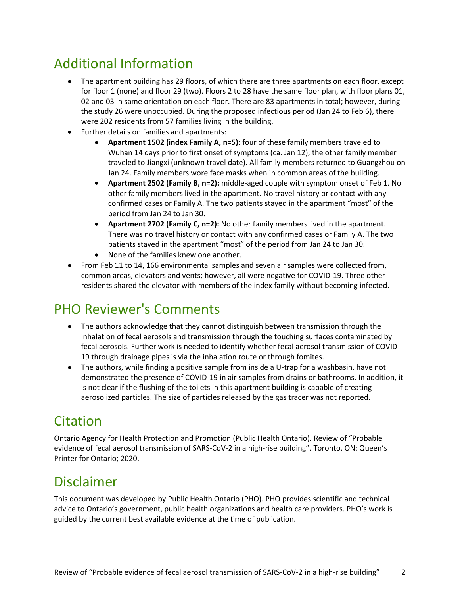## Additional Information

- The apartment building has 29 floors, of which there are three apartments on each floor, except for floor 1 (none) and floor 29 (two). Floors 2 to 28 have the same floor plan, with floor plans 01, 02 and 03 in same orientation on each floor. There are 83 apartments in total; however, during the study 26 were unoccupied. During the proposed infectious period (Jan 24 to Feb 6), there were 202 residents from 57 families living in the building.
- Further details on families and apartments:
	- **Apartment 1502 (index Family A, n=5):** four of these family members traveled to Wuhan 14 days prior to first onset of symptoms (ca. Jan 12); the other family member traveled to Jiangxi (unknown travel date). All family members returned to Guangzhou on Jan 24. Family members wore face masks when in common areas of the building.
	- **Apartment 2502 (Family B, n=2):** middle-aged couple with symptom onset of Feb 1. No other family members lived in the apartment. No travel history or contact with any confirmed cases or Family A. The two patients stayed in the apartment "most" of the period from Jan 24 to Jan 30.
	- **Apartment 2702 (Family C, n=2):** No other family members lived in the apartment. There was no travel history or contact with any confirmed cases or Family A. The two patients stayed in the apartment "most" of the period from Jan 24 to Jan 30.
	- None of the families knew one another.
- From Feb 11 to 14, 166 environmental samples and seven air samples were collected from, common areas, elevators and vents; however, all were negative for COVID-19. Three other residents shared the elevator with members of the index family without becoming infected.

### PHO Reviewer's Comments

- The authors acknowledge that they cannot distinguish between transmission through the inhalation of fecal aerosols and transmission through the touching surfaces contaminated by fecal aerosols. Further work is needed to identify whether fecal aerosol transmission of COVID-19 through drainage pipes is via the inhalation route or through fomites.
- The authors, while finding a positive sample from inside a U-trap for a washbasin, have not demonstrated the presence of COVID-19 in air samples from drains or bathrooms. In addition, it is not clear if the flushing of the toilets in this apartment building is capable of creating aerosolized particles. The size of particles released by the gas tracer was not reported.

## Citation

Ontario Agency for Health Protection and Promotion (Public Health Ontario). Review of "Probable evidence of fecal aerosol transmission of SARS-CoV-2 in a high-rise building". Toronto, ON: Queen's Printer for Ontario; 2020.

#### Disclaimer

This document was developed by Public Health Ontario (PHO). PHO provides scientific and technical advice to Ontario's government, public health organizations and health care providers. PHO's work is guided by the current best available evidence at the time of publication.